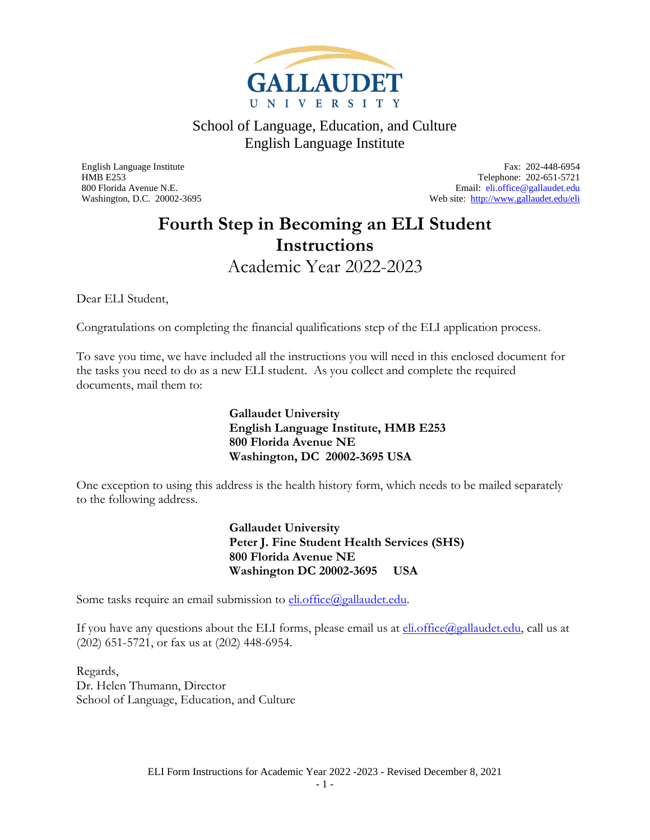

<span id="page-0-0"></span>English Language Institute Fax: 202-448-6954 HMB E253 Telephone: 202-651-5721<br>
800 Florida Avenue N.E.<br>
Email: eli.office@gallaudet.edu Email: [eli.office@gallaudet.edu](mailto:eli.office@gallaudet.edu) Washington, D.C. 20002-3695 Web site:<http://www.gallaudet.edu/eli>

### **Fourth Step in Becoming an ELI Student Instructions** Academic Year 2022-2023

<span id="page-0-1"></span>Dear ELI Student,

Congratulations on completing the financial qualifications step of the ELI application process.

To save you time, we have included all the instructions you will need in this enclosed document for the tasks you need to do as a new ELI student. As you collect and complete the required documents, mail them to:

> **Gallaudet University English Language Institute, HMB E253 800 Florida Avenue NE Washington, DC 20002-3695 USA**

One exception to using this address is the health history form, which needs to be mailed separately to the following address.

> **Gallaudet University Peter J. Fine Student Health Services (SHS) 800 Florida Avenue NE Washington DC 20002-3695 USA**

Some tasks require an email submission to **eli.office@gallaudet.edu**.

If you have any questions about the ELI forms, please email us at  $\frac{\text{eli.office}(a_{\text{gallaudet.edu}})}{\text{grid:ofine}(a_{\text{gallaudet.edu}})}$ (202) 651-5721, or fax us at (202) 448-6954.

Regards, Dr. Helen Thumann, Director School of Language, Education, and Culture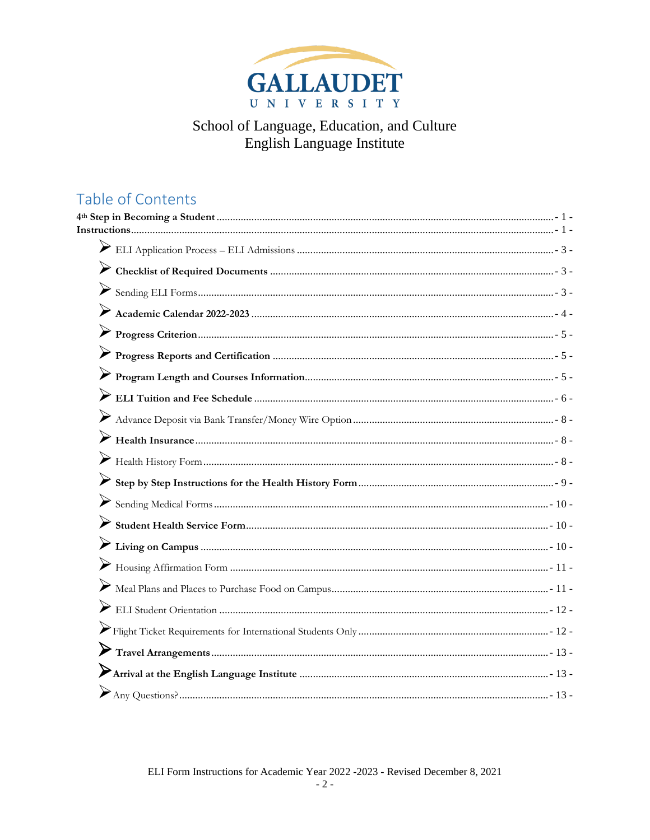

### Table of Contents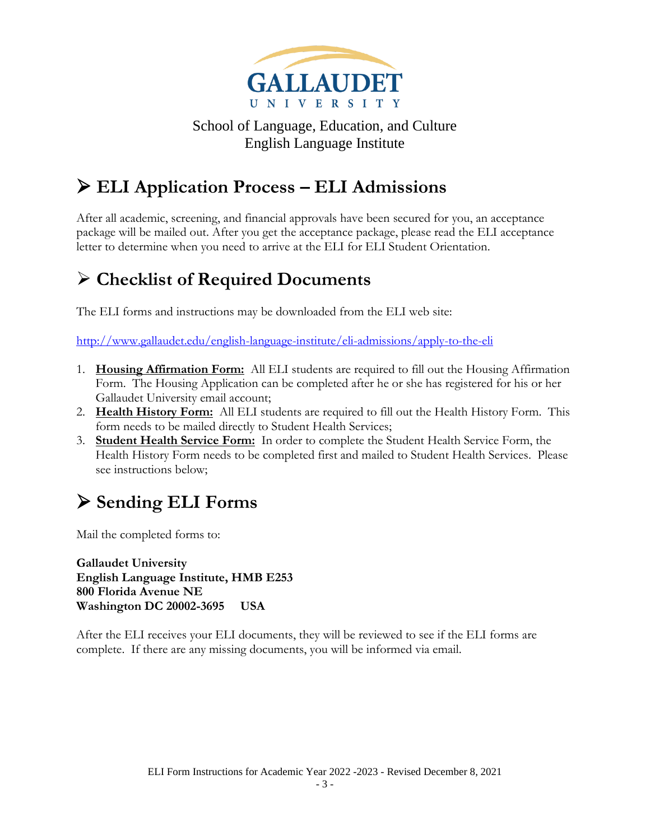

## <span id="page-2-0"></span>➢ **ELI Application Process – ELI Admissions**

After all academic, screening, and financial approvals have been secured for you, an acceptance package will be mailed out. After you get the acceptance package, please read the ELI acceptance letter to determine when you need to arrive at the ELI for ELI Student Orientation.

### <span id="page-2-1"></span>➢ **Checklist of Required Documents**

The ELI forms and instructions may be downloaded from the ELI web site:

<http://www.gallaudet.edu/english-language-institute/eli-admissions/apply-to-the-eli>

- 1. **Housing Affirmation Form:** All ELI students are required to fill out the Housing Affirmation Form. The Housing Application can be completed after he or she has registered for his or her Gallaudet University email account;
- 2. **Health History Form:** All ELI students are required to fill out the Health History Form. This form needs to be mailed directly to Student Health Services;
- 3. **Student Health Service Form:** In order to complete the Student Health Service Form, the Health History Form needs to be completed first and mailed to Student Health Services. Please see instructions below;

# <span id="page-2-2"></span>➢ **Sending ELI Forms**

Mail the completed forms to:

**Gallaudet University English Language Institute, HMB E253 800 Florida Avenue NE Washington DC 20002-3695 USA**

After the ELI receives your ELI documents, they will be reviewed to see if the ELI forms are complete. If there are any missing documents, you will be informed via email.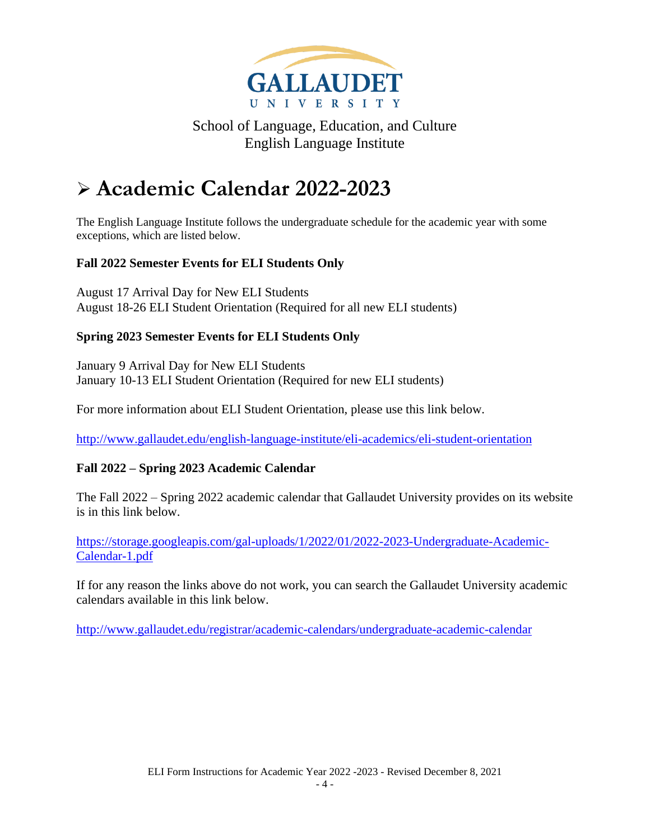

# <span id="page-3-0"></span>➢ **Academic Calendar 2022-2023**

The English Language Institute follows the undergraduate schedule for the academic year with some exceptions, which are listed below.

#### **Fall 2022 Semester Events for ELI Students Only**

August 17 Arrival Day for New ELI Students August 18-26 ELI Student Orientation (Required for all new ELI students)

#### **Spring 2023 Semester Events for ELI Students Only**

January 9 Arrival Day for New ELI Students January 10-13 ELI Student Orientation (Required for new ELI students)

For more information about ELI Student Orientation, please use this link below.

<http://www.gallaudet.edu/english-language-institute/eli-academics/eli-student-orientation>

#### **Fall 2022 – Spring 2023 Academic Calendar**

The Fall 2022 – Spring 2022 academic calendar that Gallaudet University provides on its website is in this link below.

[https://storage.googleapis.com/gal-uploads/1/2022/01/2022-2023-Undergraduate-Academic-](https://storage.googleapis.com/gal-uploads/1/2022/01/2022-2023-Undergraduate-Academic-Calendar-1.pdf)[Calendar-1.pdf](https://storage.googleapis.com/gal-uploads/1/2022/01/2022-2023-Undergraduate-Academic-Calendar-1.pdf)

If for any reason the links above do not work, you can search the Gallaudet University academic calendars available in this link below.

<http://www.gallaudet.edu/registrar/academic-calendars/undergraduate-academic-calendar>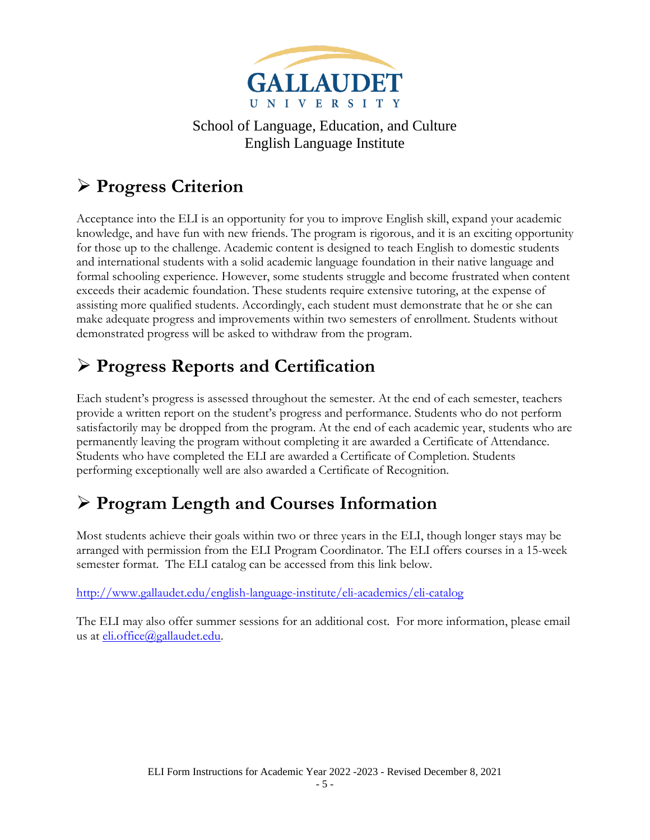

# <span id="page-4-0"></span>➢ **Progress Criterion**

Acceptance into the ELI is an opportunity for you to improve English skill, expand your academic knowledge, and have fun with new friends. The program is rigorous, and it is an exciting opportunity for those up to the challenge. Academic content is designed to teach English to domestic students and international students with a solid academic language foundation in their native language and formal schooling experience. However, some students struggle and become frustrated when content exceeds their academic foundation. These students require extensive tutoring, at the expense of assisting more qualified students. Accordingly, each student must demonstrate that he or she can make adequate progress and improvements within two semesters of enrollment. Students without demonstrated progress will be asked to withdraw from the program.

## <span id="page-4-1"></span>➢ **Progress Reports and Certification**

Each student's progress is assessed throughout the semester. At the end of each semester, teachers provide a written report on the student's progress and performance. Students who do not perform satisfactorily may be dropped from the program. At the end of each academic year, students who are permanently leaving the program without completing it are awarded a Certificate of Attendance. Students who have completed the ELI are awarded a Certificate of Completion. Students performing exceptionally well are also awarded a Certificate of Recognition.

## <span id="page-4-2"></span>➢ **Program Length and Courses Information**

Most students achieve their goals within two or three years in the ELI, though longer stays may be arranged with permission from the ELI Program Coordinator. The ELI offers courses in a 15-week semester format. The ELI catalog can be accessed from this link below.

<http://www.gallaudet.edu/english-language-institute/eli-academics/eli-catalog>

The ELI may also offer summer sessions for an additional cost. For more information, please email us at [eli.office@gallaudet.edu.](mailto:eli.office@gallaudet.edu)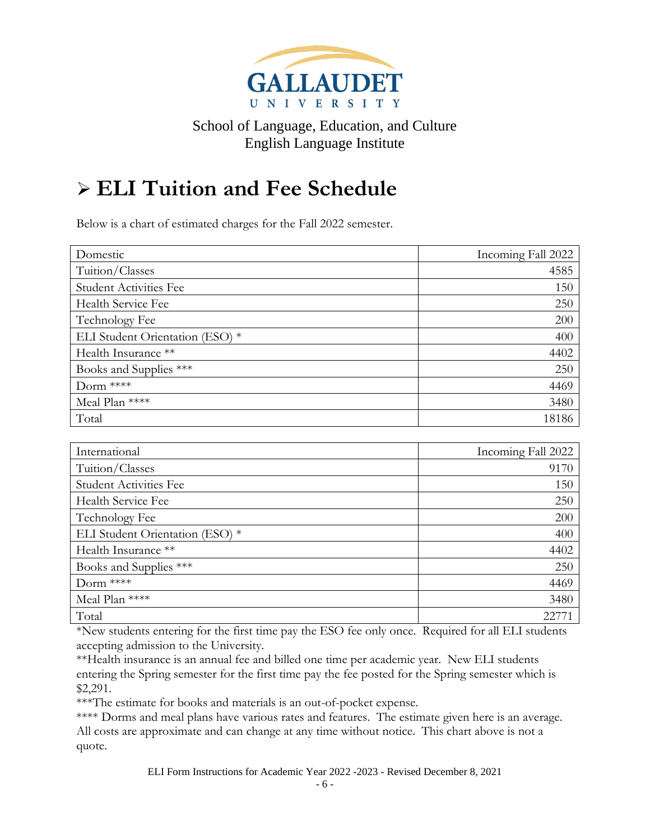

# <span id="page-5-0"></span>➢ **ELI Tuition and Fee Schedule**

Below is a chart of estimated charges for the Fall 2022 semester.

| Domestic                        | Incoming Fall 2022 |
|---------------------------------|--------------------|
| Tuition/Classes                 | 4585               |
| <b>Student Activities Fee</b>   | 150                |
| Health Service Fee              | 250                |
| Technology Fee                  | 200                |
| ELI Student Orientation (ESO) * | 400                |
| Health Insurance **             | 4402               |
| Books and Supplies ***          | 250                |
| Dorm ****                       | 4469               |
| Meal Plan ****                  | 3480               |
| Total                           | 18186              |

| International                   | Incoming Fall 2022 |
|---------------------------------|--------------------|
| Tuition/Classes                 | 9170               |
| <b>Student Activities Fee</b>   | 150                |
| Health Service Fee              | 250                |
| Technology Fee                  | 200                |
| ELI Student Orientation (ESO) * | 400                |
| Health Insurance **             | 4402               |
| Books and Supplies ***          | 250                |
| Dorm ****                       | 4469               |
| Meal Plan ****                  | 3480               |
| Total                           | 22.77              |

\*New students entering for the first time pay the ESO fee only once. Required for all ELI students accepting admission to the University.

\*\*Health insurance is an annual fee and billed one time per academic year. New ELI students entering the Spring semester for the first time pay the fee posted for the Spring semester which is \$2,291.

\*\*\*The estimate for books and materials is an out-of-pocket expense.

\*\*\*\* Dorms and meal plans have various rates and features. The estimate given here is an average. All costs are approximate and can change at any time without notice. This chart above is not a quote.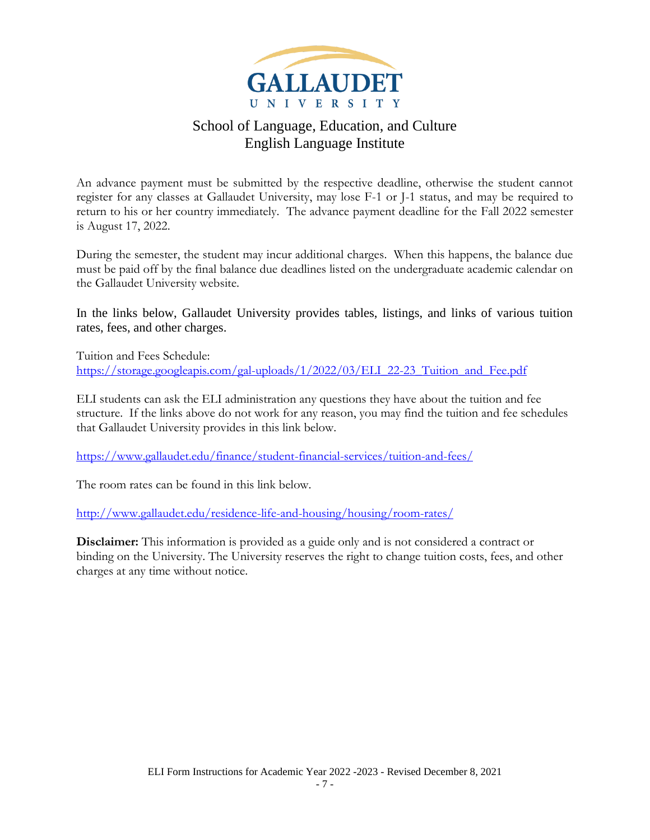

An advance payment must be submitted by the respective deadline, otherwise the student cannot register for any classes at Gallaudet University, may lose F-1 or J-1 status, and may be required to return to his or her country immediately. The advance payment deadline for the Fall 2022 semester is August 17, 2022.

During the semester, the student may incur additional charges. When this happens, the balance due must be paid off by the final balance due deadlines listed on the undergraduate academic calendar on the Gallaudet University website.

In the links below, Gallaudet University provides tables, listings, and links of various tuition rates, fees, and other charges.

Tuition and Fees Schedule: [https://storage.googleapis.com/gal-uploads/1/2022/03/ELI\\_22-23\\_Tuition\\_and\\_Fee.pdf](https://storage.googleapis.com/gal-uploads/1/2022/03/ELI_22-23_Tuition_and_Fee.pdf)

ELI students can ask the ELI administration any questions they have about the tuition and fee structure. If the links above do not work for any reason, you may find the tuition and fee schedules that Gallaudet University provides in this link below.

<https://www.gallaudet.edu/finance/student-financial-services/tuition-and-fees/>

The room rates can be found in this link below.

<http://www.gallaudet.edu/residence-life-and-housing/housing/room-rates/>

**Disclaimer:** This information is provided as a guide only and is not considered a contract or binding on the University. The University reserves the right to change tuition costs, fees, and other charges at any time without notice.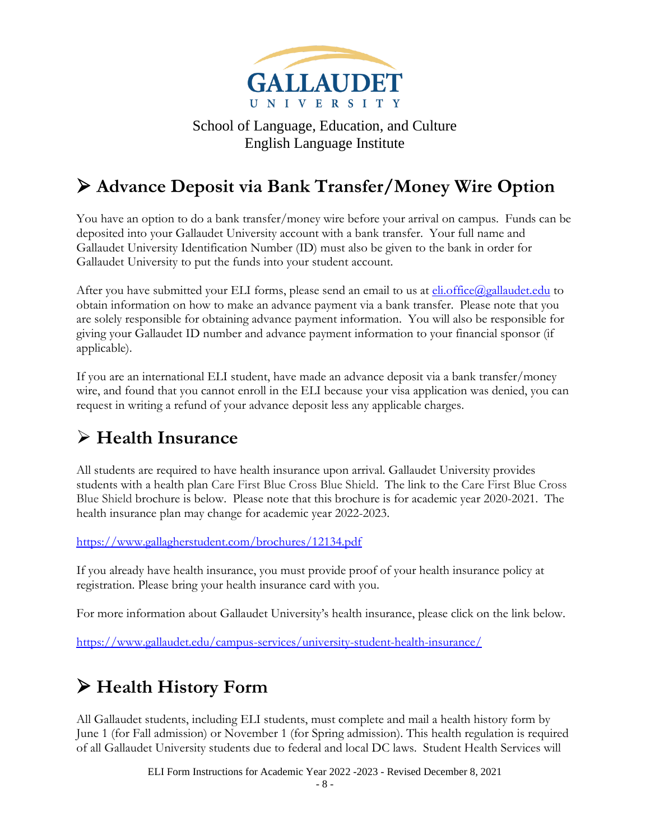

## <span id="page-7-0"></span>➢ **Advance Deposit via Bank Transfer/Money Wire Option**

You have an option to do a bank transfer/money wire before your arrival on campus. Funds can be deposited into your Gallaudet University account with a bank transfer. Your full name and Gallaudet University Identification Number (ID) must also be given to the bank in order for Gallaudet University to put the funds into your student account.

After you have submitted your ELI forms, please send an email to us at [eli.office@gallaudet.edu](mailto:eli.office@gallaudet.edu) to obtain information on how to make an advance payment via a bank transfer. Please note that you are solely responsible for obtaining advance payment information. You will also be responsible for giving your Gallaudet ID number and advance payment information to your financial sponsor (if applicable).

If you are an international ELI student, have made an advance deposit via a bank transfer/money wire, and found that you cannot enroll in the ELI because your visa application was denied, you can request in writing a refund of your advance deposit less any applicable charges.

### <span id="page-7-1"></span>➢ **Health Insurance**

All students are required to have health insurance upon arrival. Gallaudet University provides students with a health plan Care First Blue Cross Blue Shield. The link to the Care First Blue Cross Blue Shield brochure is below. Please note that this brochure is for academic year 2020-2021. The health insurance plan may change for academic year 2022-2023.

#### <https://www.gallagherstudent.com/brochures/12134.pdf>

If you already have health insurance, you must provide proof of your health insurance policy at registration. Please bring your health insurance card with you.

For more information about Gallaudet University's health insurance, please click on the link below.

<https://www.gallaudet.edu/campus-services/university-student-health-insurance/>

## <span id="page-7-2"></span>➢ **Health History Form**

All Gallaudet students, including ELI students, must complete and mail a health history form by June 1 (for Fall admission) or November 1 (for Spring admission). This health regulation is required of all Gallaudet University students due to federal and local DC laws. Student Health Services will

ELI Form Instructions for Academic Year 2022 -2023 - Revised December 8, 2021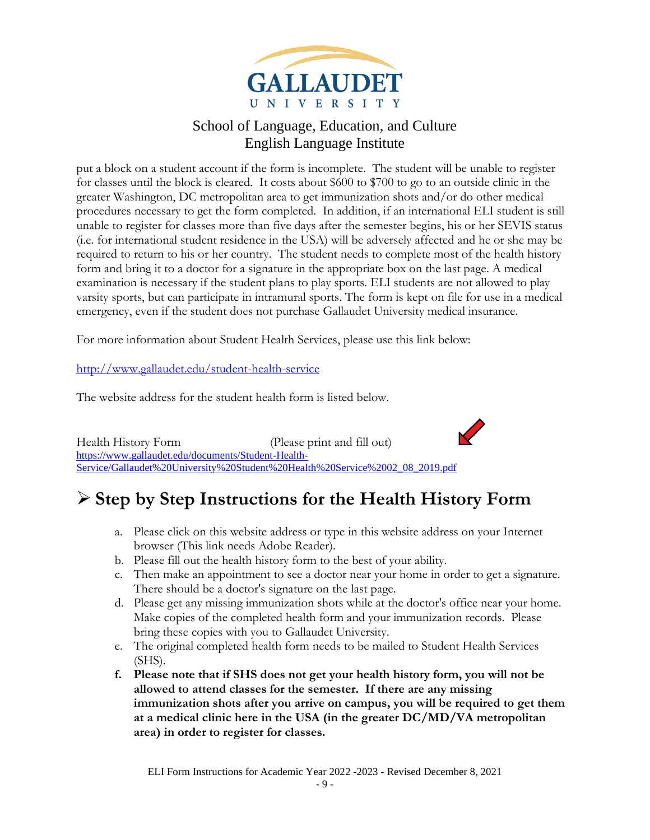

put a block on a student account if the form is incomplete. The student will be unable to register for classes until the block is cleared. It costs about \$600 to \$700 to go to an outside clinic in the greater Washington, DC metropolitan area to get immunization shots and/or do other medical procedures necessary to get the form completed. In addition, if an international ELI student is still unable to register for classes more than five days after the semester begins, his or her SEVIS status (i.e. for international student residence in the USA) will be adversely affected and he or she may be required to return to his or her country. The student needs to complete most of the health history form and bring it to a doctor for a signature in the appropriate box on the last page. A medical examination is necessary if the student plans to play sports. ELI students are not allowed to play varsity sports, but can participate in intramural sports. The form is kept on file for use in a medical emergency, even if the student does not purchase Gallaudet University medical insurance.

For more information about Student Health Services, please use this link below:

<http://www.gallaudet.edu/student-health-service>

The website address for the student health form is listed below.

Health History Form (Please print and fill out) [https://www.gallaudet.edu/documents/Student-Health-](https://www.gallaudet.edu/documents/Student-Health-Service/Gallaudet%20University%20Student%20Health%20Service%2002_08_2019.pdf)[Service/Gallaudet%20University%20Student%20Health%20Service%2002\\_08\\_2019.pdf](https://www.gallaudet.edu/documents/Student-Health-Service/Gallaudet%20University%20Student%20Health%20Service%2002_08_2019.pdf)

### <span id="page-8-0"></span>➢ **Step by Step Instructions for the Health History Form**

- a. Please click on this website address or type in this website address on your Internet browser (This link needs Adobe Reader).
- b. Please fill out the health history form to the best of your ability.
- c. Then make an appointment to see a doctor near your home in order to get a signature. There should be a doctor's signature on the last page.
- d. Please get any missing immunization shots while at the doctor's office near your home. Make copies of the completed health form and your immunization records. Please bring these copies with you to Gallaudet University.
- e. The original completed health form needs to be mailed to Student Health Services (SHS).
- **f. Please note that if SHS does not get your health history form, you will not be allowed to attend classes for the semester. If there are any missing immunization shots after you arrive on campus, you will be required to get them at a medical clinic here in the USA (in the greater DC/MD/VA metropolitan area) in order to register for classes.**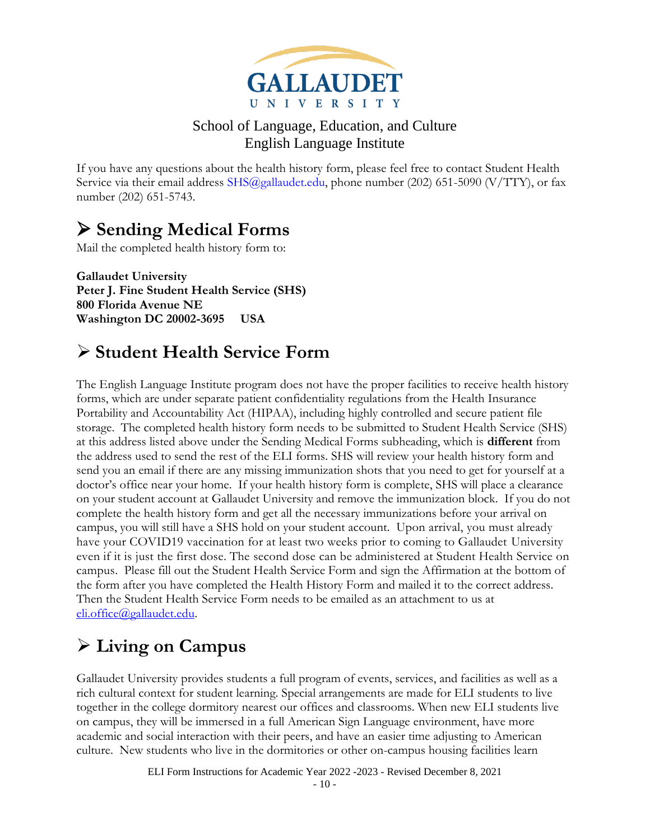

If you have any questions about the health history form, please feel free to contact Student Health Service via their email address SHS@gallaudet.edu, phone number (202) 651-5090 (V/TTY), or fax number (202) 651-5743.

## <span id="page-9-0"></span>➢ **Sending Medical Forms**

Mail the completed health history form to:

**Gallaudet University Peter J. Fine Student Health Service (SHS) 800 Florida Avenue NE Washington DC 20002-3695 USA**

### <span id="page-9-1"></span>➢ **Student Health Service Form**

The English Language Institute program does not have the proper facilities to receive health history forms, which are under separate patient confidentiality regulations from the Health Insurance Portability and Accountability Act (HIPAA), including highly controlled and secure patient file storage. The completed health history form needs to be submitted to Student Health Service (SHS) at this address listed above under the Sending Medical Forms subheading, which is **different** from the address used to send the rest of the ELI forms. SHS will review your health history form and send you an email if there are any missing immunization shots that you need to get for yourself at a doctor's office near your home. If your health history form is complete, SHS will place a clearance on your student account at Gallaudet University and remove the immunization block. If you do not complete the health history form and get all the necessary immunizations before your arrival on campus, you will still have a SHS hold on your student account. Upon arrival, you must already have your COVID19 vaccination for at least two weeks prior to coming to Gallaudet University even if it is just the first dose. The second dose can be administered at Student Health Service on campus. Please fill out the Student Health Service Form and sign the Affirmation at the bottom of the form after you have completed the Health History Form and mailed it to the correct address. Then the Student Health Service Form needs to be emailed as an attachment to us at [eli.office@gallaudet.edu.](mailto:eli.office@gallaudet.edu)

## <span id="page-9-2"></span>➢ **Living on Campus**

Gallaudet University provides students a full program of events, services, and facilities as well as a rich cultural context for student learning. Special arrangements are made for ELI students to live together in the college dormitory nearest our offices and classrooms. When new ELI students live on campus, they will be immersed in a full American Sign Language environment, have more academic and social interaction with their peers, and have an easier time adjusting to American culture. New students who live in the dormitories or other on-campus housing facilities learn

ELI Form Instructions for Academic Year 2022 -2023 - Revised December 8, 2021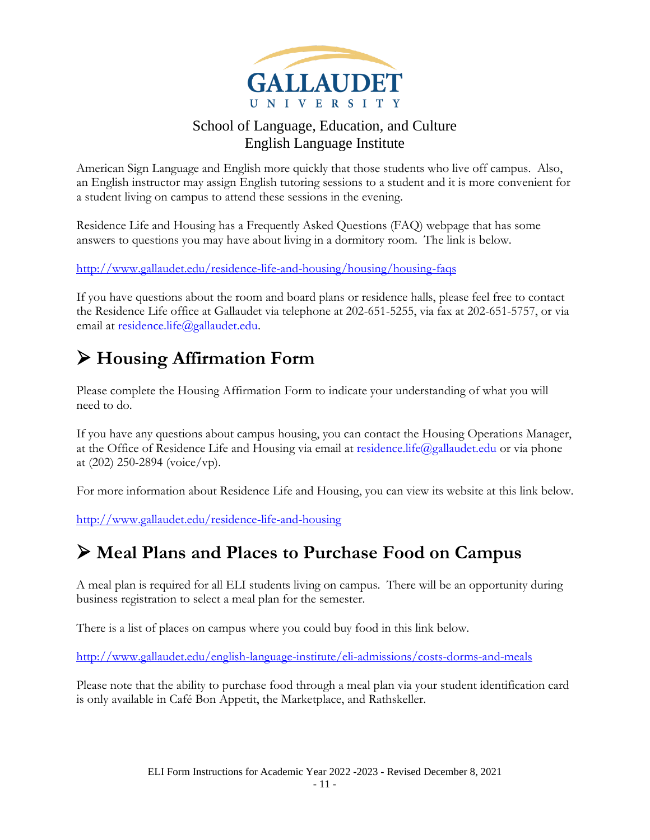

American Sign Language and English more quickly that those students who live off campus. Also, an English instructor may assign English tutoring sessions to a student and it is more convenient for a student living on campus to attend these sessions in the evening.

Residence Life and Housing has a Frequently Asked Questions (FAQ) webpage that has some answers to questions you may have about living in a dormitory room. The link is below.

<http://www.gallaudet.edu/residence-life-and-housing/housing/housing-faqs>

If you have questions about the room and board plans or residence halls, please feel free to contact the Residence Life office at Gallaudet via telephone at 202-651-5255, via fax at 202-651-5757, or via email at [residence.life@gallaudet.edu.](mailto:residence.life@gallaudet.edu)

## <span id="page-10-0"></span>➢ **Housing Affirmation Form**

Please complete the Housing Affirmation Form to indicate your understanding of what you will need to do.

If you have any questions about campus housing, you can contact the Housing Operations Manager, at the Office of Residence Life and Housing via email at [residence.life@gallaudet.edu](mailto:residence.life@gallaudet.edu) or via phone at (202) 250-2894 (voice/vp).

For more information about Residence Life and Housing, you can view its website at this link below.

<http://www.gallaudet.edu/residence-life-and-housing>

### <span id="page-10-1"></span>➢ **Meal Plans and Places to Purchase Food on Campus**

A meal plan is required for all ELI students living on campus. There will be an opportunity during business registration to select a meal plan for the semester.

There is a list of places on campus where you could buy food in this link below.

<http://www.gallaudet.edu/english-language-institute/eli-admissions/costs-dorms-and-meals>

Please note that the ability to purchase food through a meal plan via your student identification card is only available in Café Bon Appetit, the Marketplace, and Rathskeller.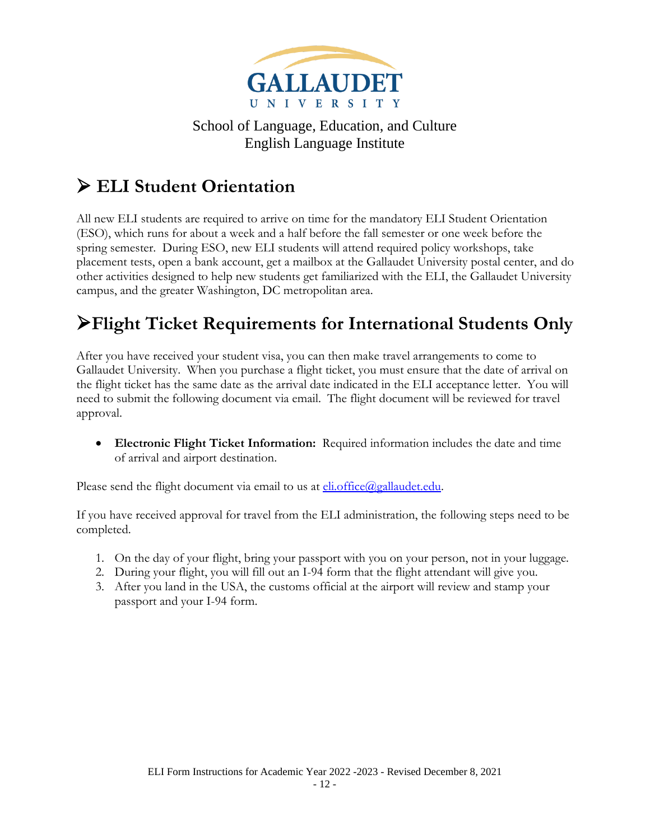

# <span id="page-11-0"></span>➢ **ELI Student Orientation**

All new ELI students are required to arrive on time for the mandatory ELI Student Orientation (ESO), which runs for about a week and a half before the fall semester or one week before the spring semester. During ESO, new ELI students will attend required policy workshops, take placement tests, open a bank account, get a mailbox at the Gallaudet University postal center, and do other activities designed to help new students get familiarized with the ELI, the Gallaudet University campus, and the greater Washington, DC metropolitan area.

# <span id="page-11-1"></span>➢**Flight Ticket Requirements for International Students Only**

After you have received your student visa, you can then make travel arrangements to come to Gallaudet University. When you purchase a flight ticket, you must ensure that the date of arrival on the flight ticket has the same date as the arrival date indicated in the ELI acceptance letter. You will need to submit the following document via email. The flight document will be reviewed for travel approval.

• **Electronic Flight Ticket Information:** Required information includes the date and time of arrival and airport destination.

Please send the flight document via email to us at  $e$ li.office $\omega$ gallaudet.edu.

If you have received approval for travel from the ELI administration, the following steps need to be completed.

- 1. On the day of your flight, bring your passport with you on your person, not in your luggage.
- 2. During your flight, you will fill out an I-94 form that the flight attendant will give you.
- 3. After you land in the USA, the customs official at the airport will review and stamp your passport and your I-94 form.